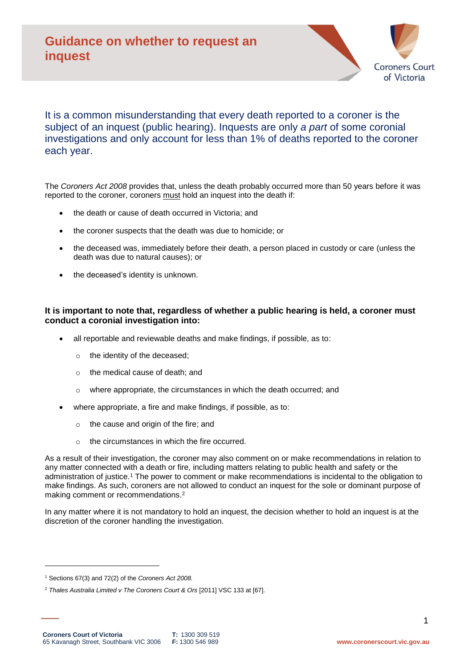

## It is a common misunderstanding that every death reported to a coroner is the subject of an inquest (public hearing). Inquests are only *a part* of some coronial investigations and only account for less than 1% of deaths reported to the coroner each year.

The *Coroners Act 2008* provides that, unless the death probably occurred more than 50 years before it was reported to the coroner, coroners must hold an inquest into the death if:

- the death or cause of death occurred in Victoria; and
- the coroner suspects that the death was due to homicide; or
- the deceased was, immediately before their death, a person placed in custody or care (unless the death was due to natural causes); or
- the deceased's identity is unknown.

### **It is important to note that, regardless of whether a public hearing is held, a coroner must conduct a coronial investigation into:**

- all reportable and reviewable deaths and make findings, if possible, as to:
	- o the identity of the deceased;
	- o the medical cause of death; and
	- o where appropriate, the circumstances in which the death occurred; and
- where appropriate, a fire and make findings, if possible, as to:
	- o the cause and origin of the fire; and
	- o the circumstances in which the fire occurred.

As a result of their investigation, the coroner may also comment on or make recommendations in relation to any matter connected with a death or fire, including matters relating to public health and safety or the administration of justice.<sup>1</sup> The power to comment or make recommendations is incidental to the obligation to make findings. As such, coroners are not allowed to conduct an inquest for the sole or dominant purpose of making comment or recommendations.<sup>2</sup>

In any matter where it is not mandatory to hold an inquest, the decision whether to hold an inquest is at the discretion of the coroner handling the investigation.

1

<sup>1</sup> Sections 67(3) and 72(2) of the *Coroners Act 2008.*

<sup>2</sup> *Thales Australia Limited v The Coroners Court & Ors* [2011] VSC 133 at [67].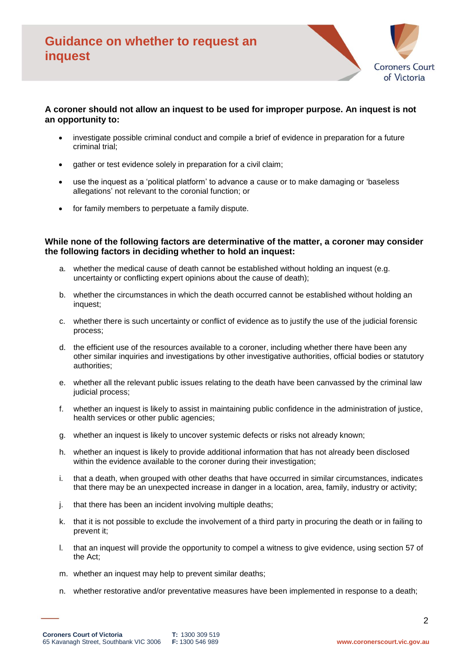

#### **A coroner should not allow an inquest to be used for improper purpose. An inquest is not an opportunity to:**

- investigate possible criminal conduct and compile a brief of evidence in preparation for a future criminal trial;
- gather or test evidence solely in preparation for a civil claim;
- use the inquest as a 'political platform' to advance a cause or to make damaging or 'baseless allegations' not relevant to the coronial function; or
- for family members to perpetuate a family dispute.

#### **While none of the following factors are determinative of the matter, a coroner may consider the following factors in deciding whether to hold an inquest:**

- a. whether the medical cause of death cannot be established without holding an inquest (e.g. uncertainty or conflicting expert opinions about the cause of death);
- b. whether the circumstances in which the death occurred cannot be established without holding an inquest;
- c. whether there is such uncertainty or conflict of evidence as to justify the use of the judicial forensic process;
- d. the efficient use of the resources available to a coroner, including whether there have been any other similar inquiries and investigations by other investigative authorities, official bodies or statutory authorities;
- e. whether all the relevant public issues relating to the death have been canvassed by the criminal law judicial process;
- f. whether an inquest is likely to assist in maintaining public confidence in the administration of justice, health services or other public agencies;
- g. whether an inquest is likely to uncover systemic defects or risks not already known;
- h. whether an inquest is likely to provide additional information that has not already been disclosed within the evidence available to the coroner during their investigation;
- i. that a death, when grouped with other deaths that have occurred in similar circumstances, indicates that there may be an unexpected increase in danger in a location, area, family, industry or activity;
- j. that there has been an incident involving multiple deaths;
- k. that it is not possible to exclude the involvement of a third party in procuring the death or in failing to prevent it;
- l. that an inquest will provide the opportunity to compel a witness to give evidence, using section 57 of the Act;
- m. whether an inquest may help to prevent similar deaths;
- n. whether restorative and/or preventative measures have been implemented in response to a death;